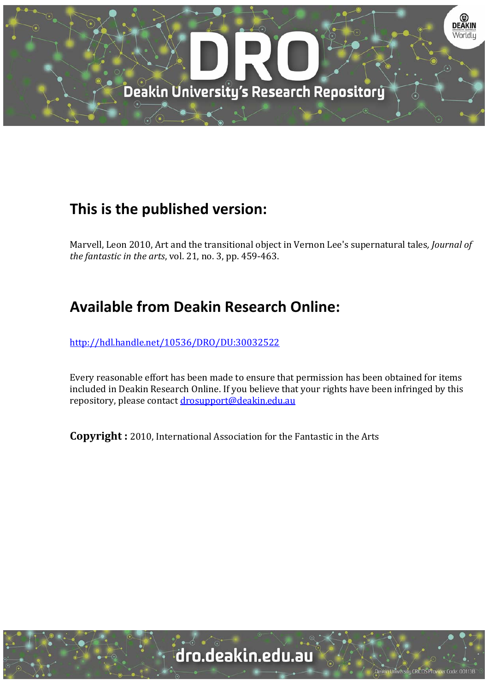

## **This is the published version:**

Marvell, Leon 2010, Art and the transitional object in Vernon Lee's supernatural tales, *Journal of the fantastic in the arts*, vol. 21, no. 3, pp. 459‐463. 

## **Available from Deakin Research Online:**

http://hdl.handle.net/10536/DRO/DU:30032522

Every reasonable effort has been made to ensure that permission has been obtained for items included in Deakin Research Online. If you believe that your rights have been infringed by this repository, please contact drosupport@deakin.edu.au

**Copyright** : 2010, International Association for the Fantastic in the Arts

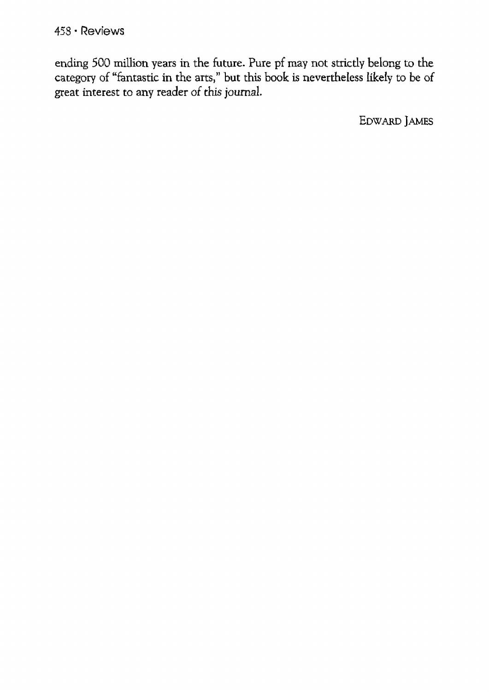ending 500 million years in the future. Pure pf may not strictly belong to the category of "fantastic in the arts," but this book is nevertheless likely to be of great interest to any reader of this journal.

EDWARD JAMES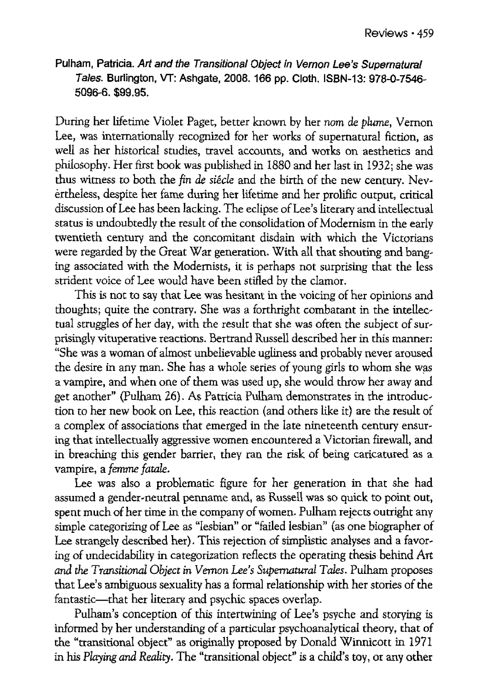Pulham, Patricia. Art and the Transitional Object in Vernon Lee's Supernatural Tales. Burlington, VT: Ashgate, 2008. 166 pp. Cloth. ISBN-13: 978-0-7546-5096-6. \$99.95.

During her lifetime Violet Paget, better known by her *nom* de *plume,* Vernon Lee, was internationally recognized for her works of supernatural fiction, as well as her historical studies, travel accounts, and works on aesthetics and philosophy. Her first book was published in 1880 and her last in 1932; she was thus witness to both the *fin de siecle* and the birth of the new century. Nevertheless, despite her fame during her lifetime and her prolific output, critical discussion of Lee has been lacking. The eclipse of Lee's literary and intellectual status is undoubtedly the result of the consolidation of Modernism in the early twentieth century and the concomitant disdain with which the Victorians were regarded by the Great War generation. With all that shouting and banging associated with the Modernists, it is perhaps not surprising that the less strident voice of Lee would have been stifled by the clamor.

This is not to say that Lee was hesitant in the voicing of her opinions and thoughts; quite the contrary. She was a forthright combatant in the intellectual struggles of her day, with the result that she was often the subject of surprisingly vituperative reactions. Bertrand Russell described her in this manner: "She was a woman of almost unbelievable ugliness and probably never aroused the desire in any man. She has a whole series of young girls to whom she was a vampire, and when one of them was used up, she would throw her away and get another" (Pulham 26). As Patricia Pulham demonstrates in the introduc-tion to her new book on Lee, this reaction (and others like it} are the result of a complex of associations that emerged in the late nineteenth century ensuring that intellectually aggressive women encountered a Victorian firewall, and in breaching *this* gender barrier, they ran the risk of being caricatured as a vampire, a *femme fatale.* 

Lee was also a problematic figure for her generation in that she had assumed a gender~neutral penname and, as Russell was so quick to point out, spent much of her time in the company of women. Pulham rejects outright any simple categorizing of Lee as "lesbian" or "failed lesbian" (as one biographer of Lee strangely described her). This rejection of simplistic analyses and a favoring of undecidability in categorization reflects the operating thesis behind Art and the Transitional Object in Vernon Lee's Supernatural Tales. Pulham proposes that Lee's ambiguous sexuality has a formal relationship with her stories of the fantastic-that her literary and psychic spaces overlap.

Pulham's conception of this intertwining of Lee's psyche and storying is informed by her understanding of a particular psychoanalytical theory, that of the "transitional object" as originally proposed by Donald Winnicott in 1971 in his *Playing and Reality*. The "transitional object" is a child's toy, or any other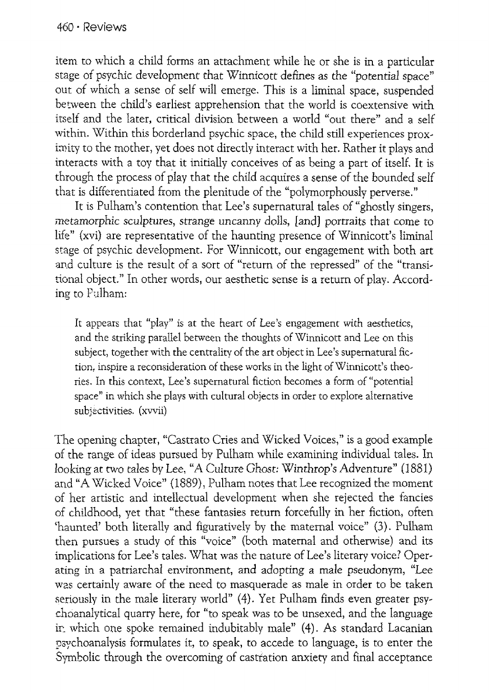item to which a child forms an attachment while he or she is in a particular stage of psychic development that Winnicott defines as the "potential space" out of which a sense of self will emerge. This is a liminal space, suspended between the child's earliest apprehension that the world is coextensive with itself and the later, critical division between a world "out there" and a self within. Within this borderland psychic space, the child still experiences proximity to the mother, yet does not directly interact with her. Rather it plays and interacts with a toy that it initially conceives of as being a part of itself, It is through the process of play that the child acquires a sense of the bounded self that is differentiated from the plenitude of the "polymorphously perverse."

It is Pulham's contention that Lee's supernatural tales of "ghostly singers, metamorphic sculptures, strange uncanny dolls, [and) portraits that come to life" (xvi) are representative of the haunting presence of Winnicott's liminal stage of psychic development. For Winnicott, our engagement with both art and culture is the result of a sort of "return of the repressed" of the "transitional object." In other words, our aesthetic sense is a return of play. According to Falham:

It appears that "play" is at the heart of Lee's engagement with aesthetics, and the striking parallel between the thoughts of Winnicott and Lee on this subject, together with the centrality of the art object in Lee's supernatural fie, tion, inspire a reconsideration of these works in the light of Winnicott's theories. In this context, Lee's supernatural fiction becomes a form of "potential space" in which she plays with cultural objects in order to explore alternative subjectivities. (xvvii)

The opening chapter, "Castrato Cries and Wicked Voices," is a good example of the range of ideas pursued by Pulham while examining individual tales. In looking at two tales by Lee, "A Culture *Ghost:* Winthrop's Adventure" (1881) and "A Wicked Voice" (1889), Pulham notes that Lee recognized the moment of her artistic and intellectual development when she rejected the fancies of childhood, yet that "these fantasies return forcefully in her fiction, often 'haunted' both literally and figuratively by the maternal voice" (3). Pulham then pursues a study of this "voice" (both maternal and otherwise) and its implications for Lee's tales. What was the nature of Lee's literary voice? Oper~ ating in a patriarchal environment, and adopting a male pseudonym, "Lee was certainly aware of the need to masquerade as male in order to be taken seriously in the male literary world" (4). Yet Pulham finds even greater psychoanalytical quany here, for "to speak was to be unsexed, and the language ir. which one spoke temained indubitably male" (4). As standard Lacanian psychoanalysis formulates it, to speak, to accede to language, is to enter the Symbolic through the overcoming of castration anxiety and final acceptance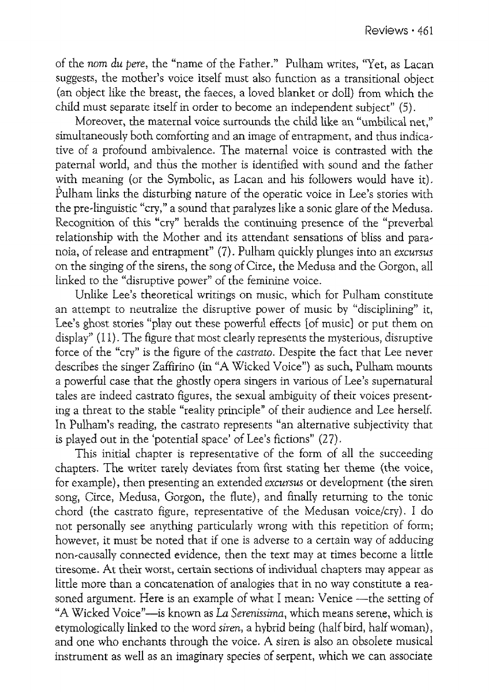of the *nom du pere*, the "name of the Father." Pulham writes, "Yet, as Lacan suggests, the mother's voice itself must also function as a transitional object (an object like the breast, the faeces, a loved blanket or doll) from which the child must separate itself in order to become an independent subject" (5).

Moreover, the maternal voice surrounds the child like an "umbilical net." simultaneously both comforting and an image of entrapment, and thus indica- tive of a profound ambivalence. The maternal voice is contrasted with the paternal world, and thus the mother is identified with sound and the father with meaning (or the Symbolic, as Lacan and his followers would have it). Pulham links the disturbing nature of the operatic voice in Lee's stories with the pre~linguistic "cry/' a sound that paralyzes like a sonic glare of the Medusa. Recognition of this "cry" heralds the continuing presence of the "preverbal relationship with the Mother and its attendant sensations of bliss and para- noia, of release and entrapment" (7). Pulham quickly plunges into an *excursus*  on the singing of the sirens, the song of Circe, the Medusa and the Gorgon, all linked to the "disruptive power" of the feminine voice.

Unlike Lee's theoretical writings on music, which for Pulham constitute an attempt to neutralize the disruptive power of music by "disciplining" it, Lee's ghost stories "play out these powerful effects fof music] or put them on display'' (11). The figure that most clearly represents the mysterious, disruptive force of the "cry" is the figure of the *castrato.* Despite the fact that Lee never describes the singer Zaffirino (in "A Wicked Voice") as such, Pulham mounts a powerful case that the ghostly opera singers in various of Lee's supernatural tales are indeed castrato figures, the sexual ambiguity of their voices presenting a threat to the stable "reality principle" of their audience and Lee herself. In Pulham's reading, the castrato represents "an alternative subjectivity that is played out in the 'potential space' of Lee's fictions" (27).

This initial chapter is representative of the form of all the succeeding chapters. The writer rarely deviates from first stating her theme (the voice, for example), then presenting an extended *excursus* or development (the siren song, Circe, Medusa, Gorgon, the flute), and finally returning to the tonic chord (the castrato figure, representative of the Medusan voice/cry). I do not personally see anything particularly wrong with this repetition of form; however, it must be noted that if one is adverse to a certain way of adducing non~causally connected evidence, then the text may at times become a little tiresome. At their worst, certain sections of individual chapters may appear as little more than a concatenation of analogies that in no way constitute a reasoned argument. Here is an example of what I mean: Venice --- the setting of "A Wicked Voice"—is known as *La Serenissima*, which means serene, which is etymologically linked to the word *siren,* a hybrid being (half bird, half woman), and one who enchants through the voice. A siren is also an obsolete musical instrument as well as an imaginary species of serpent, which we can associate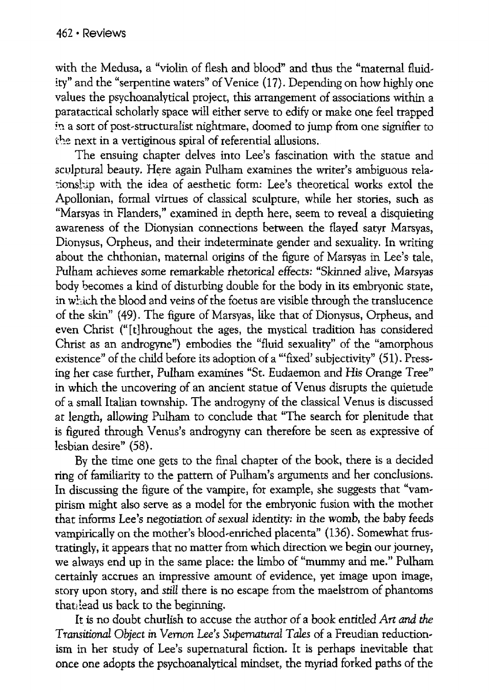with the Medusa, a "violin of flesh and blood" and thus the "maternal fluidity" and the "serpentine waters" of Venice (17). Depending on how highly one values the psychoanalytical project, this arrangement of associations within a paratacrical scholarly space will either serve to edify or make one feel trapped in a sort of post-structuralist nightmare, doomed to jump from one signifier to the next in a vertiginous spiral of referential allusions.

The ensuing chapter delves into Lee's fascination with the statue and sculptural beauty. Here again Pulham examines the writer's ambiguous relationship with the idea of aesthetic form: Lee's theoretical works extol the Apollonian, formal virtues of classical sculpture, while her stories, such as "Marsyas in Flanders," examined in depth here, seem to reveal a disquieting awareness of the Dionysian connections between the flayed satyr Marsyas, Dionysus, Orpheus, and their indeterminate gender and sexuality. In writing about the chthonian, maternal origins of the figure of Marsyas in Lee's tale, Pulham achieves some remarkable rhetorical effects: "Skinned alive, Marsyas body becomes a kind of disturbing double for the body in its embryonic state, in which the blood and veins of the foetus are visible through the translucence of the skin" ( 49). The figure of Marsyas, like that of Dionysus, Orpheus, and even Christ ("It] hroughout the ages, the mystical tradition has considered Christ as an androgyne") embodies the "fluid sexuality" of the "amorphous existence" of the child before its adoption of a "'fixed' subjectivity" (51). Pressing her case further, Pulham examines "St. Eudaemon and His Orange Tree" in which the uncovering of an ancient statue of Venus disrupts the quietude of a small Italian township. The androgyny of the classical Venus is discussed at length, allowing Pulham to conclude that "The search for plenitude that is figured through Venus's androgyny can therefore be seen as expressive of lesbian desire" (58).

By the time one gets to the final chapter of the book, there is a decided ring of familiarity to the pattern of Pulham's arguments and her conclusions. In discussing the figure of the vampire, for example, she suggests that "vampirism might also serve as a model for the embryonic fusion with the mother that informs Lee's negotiation of sexual identity: in the womb, the baby feeds vampirically on the mother's blood-enriched placenta" (136). Somewhat frustratingly, it appears that no matter from which direction we begin our journey, we always end up in the same place: the limbo of "mummy and me." Pulham certainly accrues an impressive amount of evidence, yet image upon image, story upon story, and *still* there is no escape from the maelstrom of phantoms that lead us back to the beginning.

It is no doubt churlish to accuse the author of a *book* entitled *Art and the Transitional Object in Vernon* Lee~s *Supernatural Tales* of a Freudian reductionism in her study of Lee's supernatural fiction. It is perhaps inevitable that once one adopts the psychoanalytical mindset, the myriad forked paths of the